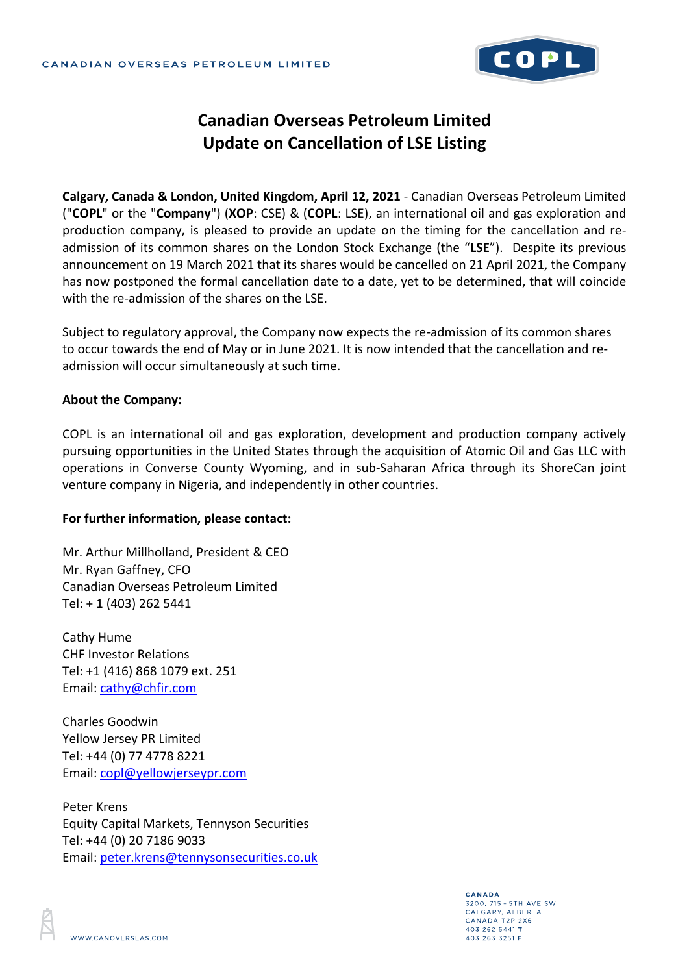

## **Canadian Overseas Petroleum Limited Update on Cancellation of LSE Listing**

**Calgary, Canada & London, United Kingdom, April 12, 2021** - Canadian Overseas Petroleum Limited ("**COPL**" or the "**Company**") (**XOP**: CSE) & (**COPL**: LSE), an international oil and gas exploration and production company, is pleased to provide an update on the timing for the cancellation and readmission of its common shares on the London Stock Exchange (the "**LSE**"). Despite its previous announcement on 19 March 2021 that its shares would be cancelled on 21 April 2021, the Company has now postponed the formal cancellation date to a date, yet to be determined, that will coincide with the re-admission of the shares on the LSE.

Subject to regulatory approval, the Company now expects the re-admission of its common shares to occur towards the end of May or in June 2021. It is now intended that the cancellation and readmission will occur simultaneously at such time.

## **About the Company:**

COPL is an international oil and gas exploration, development and production company actively pursuing opportunities in the United States through the acquisition of Atomic Oil and Gas LLC with operations in Converse County Wyoming, and in sub-Saharan Africa through its ShoreCan joint venture company in Nigeria, and independently in other countries.

## **For further information, please contact:**

Mr. Arthur Millholland, President & CEO Mr. Ryan Gaffney, CFO Canadian Overseas Petroleum Limited Tel: + 1 (403) 262 5441

Cathy Hume CHF Investor Relations Tel: +1 (416) 868 1079 ext. 251 Email: [cathy@chfir.com](mailto:cathy@chfir.com)

Charles Goodwin Yellow Jersey PR Limited Tel: +44 (0) 77 4778 8221 Email: [copl@yellowjerseypr.com](mailto:copl@yellowjerseypr.com)

Peter Krens Equity Capital Markets, Tennyson Securities Tel: +44 (0) 20 7186 9033 Email: [peter.krens@tennysonsecurities.co.uk](mailto:peter.krens@tennysonsecurities.co.uk)